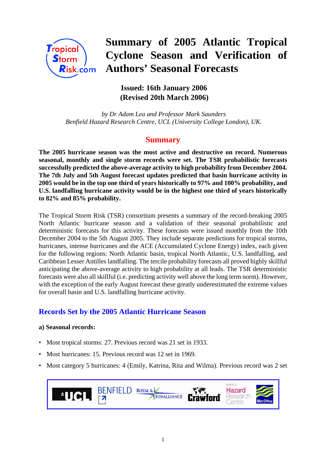

# **Summary of 2005 Atlantic Tropical Cyclone Season and Verification of Authors' Seasonal Forecasts**

## **Issued: 16th January 2006 (Revised 20th March 2006)**

 *by Dr Adam Lea and Professor Mark Saunders Benfield Hazard Research Centre, UCL (University College London), UK.*

## **Summary**

**The 2005 hurricane season was the most active and destructive on record. Numerous seasonal, monthly and single storm records were set. The TSR probabilistic forecasts successfully predicted the above-average activity to high probability from December 2004. The 7th July and 5th August forecast updates predicted that basin hurricane activity in 2005 would be in the top one third of years historically to 97% and 100% probability, and U.S. landfalling hurricane activity would be in the highest one third of years historically to 82% and 85% probability.**

The Tropical Storm Risk (TSR) consortium presents a summary of the record-breaking 2005 North Atlantic hurricane season and a validation of their seasonal probabilistic and deterministic forecasts for this activity. These forecasts were issued monthly from the 10th December 2004 to the 5th August 2005. They include separate predictions for tropical storms, hurricanes, intense hurricanes and the ACE (Accumulated Cyclone Energy) index, each given for the following regions: North Atlantic basin, tropical North Atlantic, U.S. landfalling, and Caribbean Lesser Antilles landfalling. The tercile probability forecasts all proved highly skillful anticipating the above-average activity to high probability at all leads. The TSR deterministic forecasts were also all skillful (i.e. predicting activity well above the long term norm). However, with the exception of the early August forecast these greatly underestimated the extreme values for overall basin and U.S. landfalling hurricane activity.

## **Records Set by the 2005 Atlantic Hurricane Season**

#### **a) Seasonal records:**

- Most tropical storms: 27. Previous record was 21 set in 1933.
- Most hurricanes: 15. Previous record was 12 set in 1969.
- Most category 5 hurricanes: 4 (Emily, Katrina, Rita and Wilma). Previous record was 2 set

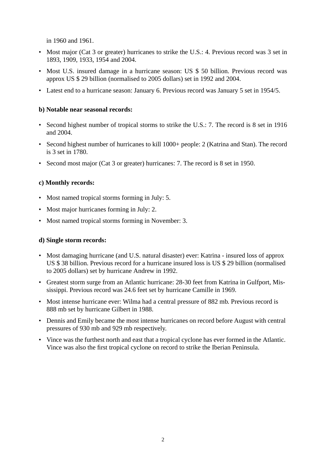in 1960 and 1961.

- Most major (Cat 3 or greater) hurricanes to strike the U.S.: 4. Previous record was 3 set in 1893, 1909, 1933, 1954 and 2004.
- Most U.S. insured damage in a hurricane season: US \$ 50 billion. Previous record was approx US \$ 29 billion (normalised to 2005 dollars) set in 1992 and 2004.
- Latest end to a hurricane season: January 6. Previous record was January 5 set in 1954/5.

#### **b) Notable near seasonal records:**

- Second highest number of tropical storms to strike the U.S.: 7. The record is 8 set in 1916 and 2004.
- Second highest number of hurricanes to kill 1000+ people: 2 (Katrina and Stan). The record is 3 set in 1780.
- Second most major (Cat 3 or greater) hurricanes: 7. The record is 8 set in 1950.

#### **c) Monthly records:**

- Most named tropical storms forming in July: 5.
- Most major hurricanes forming in July: 2.
- Most named tropical storms forming in November: 3.

#### **d) Single storm records:**

- Most damaging hurricane (and U.S. natural disaster) ever: Katrina insured loss of approx US \$ 38 billion. Previous record for a hurricane insured loss is US \$ 29 billion (normalised to 2005 dollars) set by hurricane Andrew in 1992.
- Greatest storm surge from an Atlantic hurricane: 28-30 feet from Katrina in Gulfport, Mississippi. Previous record was 24.6 feet set by hurricane Camille in 1969.
- Most intense hurricane ever: Wilma had a central pressure of 882 mb. Previous record is 888 mb set by hurricane Gilbert in 1988.
- Dennis and Emily became the most intense hurricanes on record before August with central pressures of 930 mb and 929 mb respectively.
- Vince was the furthest north and east that a tropical cyclone has ever formed in the Atlantic. Vince was also the first tropical cyclone on record to strike the Iberian Peninsula.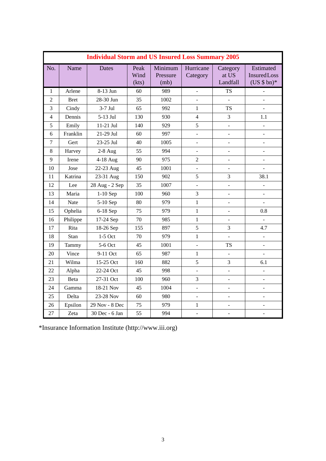|                | <b>Individual Storm and US Insured Loss Summary 2005</b> |                |                       |                             |                          |                               |                                                 |
|----------------|----------------------------------------------------------|----------------|-----------------------|-----------------------------|--------------------------|-------------------------------|-------------------------------------------------|
| No.            | Name                                                     | <b>Dates</b>   | Peak<br>Wind<br>(kts) | Minimum<br>Pressure<br>(mb) | Hurricane<br>Category    | Category<br>at US<br>Landfall | Estimated<br><b>Insured</b> Loss<br>$(US $bn)*$ |
| $\mathbf{1}$   | Arlene                                                   | 8-13 Jun       | 60                    | 989                         | $\overline{\phantom{a}}$ | <b>TS</b>                     |                                                 |
| 2              | <b>Bret</b>                                              | 28-30 Jun      | 35                    | 1002                        |                          |                               |                                                 |
| 3              | Cindy                                                    | $3-7$ Jul      | 65                    | 992                         | $\mathbf{1}$             | <b>TS</b>                     |                                                 |
| 4              | Dennis                                                   | 5-13 Jul       | 130                   | 930                         | $\overline{4}$           | 3                             | 1.1                                             |
| 5              | Emily                                                    | 11-21 Jul      | 140                   | 929                         | 5                        | $\overline{a}$                |                                                 |
| 6              | Franklin                                                 | 21-29 Jul      | 60                    | 997                         | $\blacksquare$           | $\frac{1}{2}$                 |                                                 |
| $\overline{7}$ | Gert                                                     | 23-25 Jul      | 40                    | 1005                        | $\overline{a}$           | $\overline{a}$                | ÷,                                              |
| 8              | Harvey                                                   | $2-8$ Aug      | 55                    | 994                         | $\overline{a}$           | $\overline{a}$                | $\overline{a}$                                  |
| 9              | Irene                                                    | 4-18 Aug       | 90                    | 975                         | $\overline{2}$           | $\overline{a}$                | $\overline{a}$                                  |
| 10             | Jose                                                     | 22-23 Aug      | 45                    | 1001                        | $\overline{a}$           |                               |                                                 |
| 11             | Katrina                                                  | 23-31 Aug      | 150                   | 902                         | 5                        | 3                             | 38.1                                            |
| 12             | Lee                                                      | 28 Aug - 2 Sep | 35                    | 1007                        | $\overline{a}$           | ÷,                            |                                                 |
| 13             | Maria                                                    | $1-10$ Sep     | 100                   | 960                         | 3                        | $\overline{\phantom{a}}$      | ÷,                                              |
| 14             | Nate                                                     | 5-10 Sep       | 80                    | 979                         | $\mathbf{1}$             | $\overline{\phantom{0}}$      | $\blacksquare$                                  |
| 15             | Ophelia                                                  | 6-18 Sep       | 75                    | 979                         | $\mathbf{1}$             |                               | 0.8                                             |
| 16             | Philippe                                                 | 17-24 Sep      | 70                    | 985                         | $\mathbf{1}$             | $\qquad \qquad -$             |                                                 |
| 17             | Rita                                                     | 18-26 Sep      | 155                   | 897                         | 5                        | 3                             | 4.7                                             |
| 18             | Stan                                                     | $1-5$ Oct      | 70                    | 979                         | $\mathbf{1}$             |                               | $\blacksquare$                                  |
| 19             | Tammy                                                    | 5-6 Oct        | 45                    | 1001                        | $\overline{a}$           | <b>TS</b>                     | $\overline{a}$                                  |
| 20             | Vince                                                    | 9-11 Oct       | 65                    | 987                         | 1                        |                               |                                                 |
| 21             | Wilma                                                    | 15-25 Oct      | 160                   | 882                         | 5                        | 3                             | 6.1                                             |
| 22             | Alpha                                                    | 22-24 Oct      | 45                    | 998                         | $\blacksquare$           | ÷,                            | $\overline{\phantom{a}}$                        |
| 23             | Beta                                                     | 27-31 Oct      | 100                   | 960                         | 3                        | $\overline{a}$                | $\overline{a}$                                  |
| 24             | Gamma                                                    | 18-21 Nov      | 45                    | 1004                        | $\blacksquare$           | $\overline{\phantom{0}}$      | ÷,                                              |
| 25             | Delta                                                    | 23-28 Nov      | 60                    | 980                         | $\overline{a}$           | $\overline{\phantom{0}}$      | $\overline{\phantom{0}}$                        |
| 26             | Epsilon                                                  | 29 Nov - 8 Dec | 75                    | 979                         | $\,1$                    | $\overline{a}$                |                                                 |
| 27             | Zeta                                                     | 30 Dec - 6 Jan | 55                    | 994                         | $\overline{\phantom{a}}$ | $\overline{a}$                | $\blacksquare$                                  |

\*Insurance Information Institute (http://www.iii.org)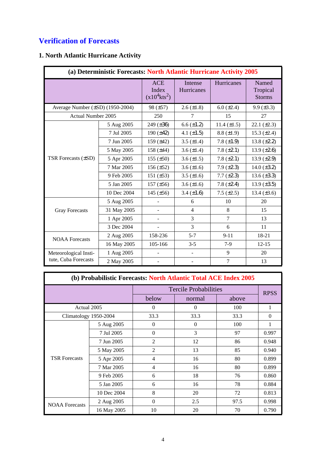## **Verification of Forecasts**

## **1. North Atlantic Hurricane Activity**

| (a) Deterministic Forecasts: North Atlantic Hurricane Activity 2005 |             |                                                    |                          |                  |                                    |
|---------------------------------------------------------------------|-------------|----------------------------------------------------|--------------------------|------------------|------------------------------------|
|                                                                     |             | <b>ACE</b><br>Index<br>$(x10^4$ kts <sup>2</sup> ) | Intense<br>Hurricanes    | Hurricanes       | Named<br>Tropical<br><b>Storms</b> |
| Average Number (±SD) (1950-2004)                                    |             | 98 (±57)                                           | $2.6 (\pm 1.8)$          | $6.0 (\pm 2.4)$  | $9.9 (\pm 3.3)$                    |
| <b>Actual Number 2005</b>                                           |             | 250                                                | $\overline{7}$           | 15               | 27                                 |
|                                                                     | 5 Aug 2005  | 249 (±36)                                          | $6.6 (\pm 1.2)$          | 11.4 $(\pm 1.5)$ | $22.1 (\pm 2.3)$                   |
|                                                                     | 7 Jul 2005  | 190 $(\pm 42)$                                     | 4.1 $(\pm 1.5)$          | $8.8 (\pm 1.9)$  | 15.3 $(\pm 2.4)$                   |
|                                                                     | 7 Jun 2005  | 159 $(\pm 42)$                                     | $3.5 \ (\pm 1.4)$        | 7.8 $(\pm 1.9)$  | 13.8 $(\pm 2.2)$                   |
|                                                                     | 5 May 2005  | 158 $(\pm 44)$                                     | 3.6 $(\pm 1.4)$          | 7.8 $(\pm 2.1)$  | 13.9 $(\pm 2.6)$                   |
| TSR Forecasts (±SD)                                                 | 5 Apr 2005  | 155 $(\pm 50)$                                     | 3.6 $(\pm 1.5)$          | 7.8 $(\pm 2.1)$  | 13.9 $(\pm 2.9)$                   |
|                                                                     | 7 Mar 2005  | $156 (\pm 52)$                                     | $3.6 (\pm 1.6)$          | $7.9 (\pm 2.3)$  | 14.0 $(\pm 3.2)$                   |
|                                                                     | 9 Feb 2005  | 151 $(\pm 53)$                                     | 3.5 $(\pm 1.6)$          | $7.7 (\pm 2.3)$  | 13.6 $(\pm 3.3)$                   |
|                                                                     | 5 Jan 2005  | $157 (\pm 56)$                                     | 3.6 $(\pm 1.6)$          | 7.8 $(\pm 2.4)$  | 13.9 $(\pm 3.5)$                   |
|                                                                     | 10 Dec 2004 | 145 $(\pm 56)$                                     | 3.4 $(\pm 1.6)$          | $7.5 (\pm 2.5)$  | 13.4 $(\pm 3.6)$                   |
|                                                                     | 5 Aug 2005  |                                                    | 6                        | 10               | 20                                 |
| <b>Gray Forecasts</b>                                               | 31 May 2005 |                                                    | $\overline{4}$           | 8                | 15                                 |
|                                                                     | 1 Apr 2005  |                                                    | 3                        | $\tau$           | 13                                 |
|                                                                     | 3 Dec 2004  |                                                    | 3                        | 6                | 11                                 |
| <b>NOAA</b> Forecasts                                               | 2 Aug 2005  | 158-236                                            | $5 - 7$                  | $9 - 11$         | 18-21                              |
|                                                                     | 16 May 2005 | 105-166                                            | $3-5$                    | $7-9$            | $12 - 15$                          |
| Meteorological Insti-                                               | 1 Aug 2005  |                                                    | $\overline{\phantom{a}}$ | 9                | 20                                 |
| tute, Cuba Forecasts                                                | 2 May 2005  |                                                    |                          | $\overline{7}$   | 13                                 |

| (b) Probabilistic Forecasts: North Atlantic Total ACE Index 2005 |             |                |                              |       |             |
|------------------------------------------------------------------|-------------|----------------|------------------------------|-------|-------------|
|                                                                  |             |                | <b>Tercile Probabilities</b> |       | <b>RPSS</b> |
|                                                                  |             |                | normal                       | above |             |
| Actual 2005                                                      |             | $\Omega$       | $\Omega$                     | 100   | 1           |
| Climatology 1950-2004                                            |             | 33.3           | 33.3                         | 33.3  | $\Omega$    |
|                                                                  | 5 Aug 2005  | $\theta$       | $\Omega$                     | 100   |             |
|                                                                  | 7 Jul 2005  | $\theta$       | 3                            | 97    | 0.997       |
|                                                                  | 7 Jun 2005  | $\overline{2}$ | 12                           | 86    | 0.948       |
|                                                                  | 5 May 2005  | $\overline{2}$ | 13                           | 85    | 0.940       |
| <b>TSR Forecasts</b>                                             | 5 Apr 2005  | $\overline{4}$ | 16                           | 80    | 0.899       |
|                                                                  | 7 Mar 2005  | $\overline{4}$ | 16                           | 80    | 0.899       |
|                                                                  | 9 Feb 2005  | 6              | 18                           | 76    | 0.860       |
|                                                                  | 5 Jan 2005  | 6              | 16                           | 78    | 0.884       |
|                                                                  | 10 Dec 2004 | 8              | 20                           | 72    | 0.813       |
| <b>NOAA</b> Forecasts                                            | 2 Aug 2005  | $\Omega$       | 2.5                          | 97.5  | 0.998       |
|                                                                  | 16 May 2005 | 10             | 20                           | 70    | 0.790       |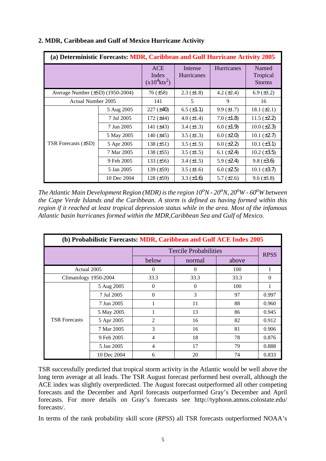| (a) Deterministic Forecasts: MDR, Caribbean and Gulf Hurricane Activity 2005 |             |                                                    |                              |                   |                                    |
|------------------------------------------------------------------------------|-------------|----------------------------------------------------|------------------------------|-------------------|------------------------------------|
|                                                                              |             | <b>ACE</b><br>Index<br>$(x10^4$ kts <sup>2</sup> ) | Intense<br><b>Hurricanes</b> | Hurricanes        | Named<br>Tropical<br><b>Storms</b> |
| Average Number (±SD) (1950-2004)                                             |             | $76 (\pm 58)$                                      | $2.3 \ (\pm 1.8)$            | 4.2 $(\pm 2.4)$   | 6.9 $(\pm 3.2)$                    |
| Actual Number 2005                                                           |             | 141                                                | 5                            | 9                 | 16                                 |
|                                                                              | 5 Aug 2005  | $227 (\pm 40)$                                     | $6.5 \ (\pm 1.1)$            | $9.9 \ (\pm 1.7)$ | 18.1 $(\pm 2.1)$                   |
|                                                                              | 7 Jul 2005  | 172 $(\pm 44)$                                     | 4.0 $(\pm 1.4)$              | $7.0 (\pm 1.8)$   | $11.5 \ (\pm 2.2)$                 |
|                                                                              | 7 Jun 2005  | 141 $(\pm 43)$                                     | 3.4 $(\pm 1.3)$              | $6.0 (\pm 1.9)$   | $10.0 (\pm 2.3)$                   |
|                                                                              | 5 May 2005  | 140 $(\pm 45)$                                     | 3.5 $(\pm 1.3)$              | $6.0 (\pm 2.0)$   | $10.1 (\pm 2.7)$                   |
| TSR Forecasts (±SD)                                                          | 5 Apr 2005  | 138 $(\pm 51)$                                     | $3.5 \ (\pm 1.5)$            | $6.0 \ (\pm 2.2)$ | $10.1 (\pm 3.1)$                   |
|                                                                              | 7 Mar 2005  | 138 $(\pm 55)$                                     | 3.5 $(\pm 1.5)$              | 6.1 $(\pm 2.4)$   | $10.2 (\pm 3.5)$                   |
|                                                                              | 9 Feb 2005  | 133 $(\pm 56)$                                     | 3.4 $(\pm 1.5)$              | 5.9 $(\pm 2.4)$   | $9.8 (\pm 3.6)$                    |
|                                                                              | 5 Jan 2005  | 139 $(\pm 59)$                                     | $3.5 \ (\pm 1.6)$            | $6.0 (\pm 2.5)$   | $10.1 (\pm 3.7)$                   |
|                                                                              | 10 Dec 2004 | $128 (\pm 59)$                                     | 3.3 $(\pm 1.6)$              | 5.7 $(\pm 2.6)$   | $9.6 (\pm 3.8)$                    |

#### **2. MDR, Caribbean and Gulf of Mexico Hurricane Activity**

The Atlantic Main Development Region (MDR) is the region  $10^{\circ}N$  -  $20^{\circ}N$ ,  $20^{\circ}W$  -  $60^{\circ}W$  between *the Cape Verde Islands and the Caribbean. A storm is defined as having formed within this region if it reached at least tropical depression status while in the area. Most of the infamous Atlantic basin hurricanes formed within the MDR,Caribbean Sea and Gulf of Mexico.*

| (b) Probabilistic Forecasts: MDR, Caribbean and Gulf ACE Index 2005 |             |                |                              |       |             |
|---------------------------------------------------------------------|-------------|----------------|------------------------------|-------|-------------|
|                                                                     |             |                | <b>Tercile Probabilities</b> |       | <b>RPSS</b> |
|                                                                     |             | below          | normal                       | above |             |
| Actual 2005                                                         |             | $\Omega$       | $\Omega$                     | 100   |             |
| Climatology 1950-2004                                               |             | 33.3           | 33.3                         | 33.3  | $\Omega$    |
|                                                                     | 5 Aug 2005  | $\Omega$       | $\Omega$                     | 100   |             |
|                                                                     | 7 Jul 2005  | $\Omega$       | 3                            | 97    | 0.997       |
|                                                                     | 7 Jun 2005  |                | 11                           | 88    | 0.960       |
|                                                                     | 5 May 2005  |                | 13                           | 86    | 0.945       |
| <b>TSR Forecasts</b>                                                | 5 Apr 2005  | $\overline{2}$ | 16                           | 82    | 0.912       |
|                                                                     | 7 Mar 2005  | 3              | 16                           | 81    | 0.906       |
|                                                                     | 9 Feb 2005  | 4              | 18                           | 78    | 0.876       |
|                                                                     | 5 Jan 2005  | 4              | 17                           | 79    | 0.888       |
|                                                                     | 10 Dec 2004 | 6              | 20                           | 74    | 0.833       |

TSR successfully predicted that tropical storm activity in the Atlantic would be well above the long term average at all leads. The TSR August forecast performed best overall, although the ACE index was slightly overpredicted. The August forecast outperformed all other competing forecasts and the December and April forecasts outperformed Gray's December and April forecasts. For more details on Gray's forecasts see http://typhoon.atmos.colostate.edu/ forecasts/.

In terms of the rank probability skill score (*RPSS*) all TSR forecasts outperformed NOAA's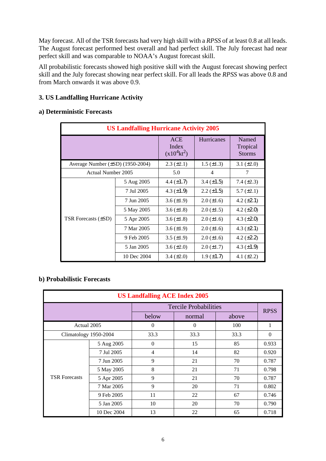May forecast. All of the TSR forecasts had very high skill with a *RPSS* of at least 0.8 at all leads. The August forecast performed best overall and had perfect skill. The July forecast had near perfect skill and was comparable to NOAA's August forecast skill.

All probabilistic forecasts showed high positive skill with the August forecast showing perfect skill and the July forecast showing near perfect skill. For all leads the *RPSS* was above 0.8 and from March onwards it was above 0.9.

#### **3. US Landfalling Hurricane Activity**

#### **a) Deterministic Forecasts**

| <b>US Landfalling Hurricane Activity 2005</b> |                          |                                              |                   |                                    |  |
|-----------------------------------------------|--------------------------|----------------------------------------------|-------------------|------------------------------------|--|
|                                               |                          | <b>ACE</b><br>Index<br>$(x10^4 \text{kt}^2)$ | <b>Hurricanes</b> | Named<br>Tropical<br><b>Storms</b> |  |
| Average Number $(\pm SD)$ (1950-2004)         | $2.3 \ (\pm 2.1)$        | $1.5 \ (\pm 1.3)$                            | 3.1 $(\pm 2.0)$   |                                    |  |
| Actual Number 2005                            | 5.0                      | 4                                            | 7                 |                                    |  |
|                                               | 5 Aug 2005               | 4.4 $(\pm 1.7)$                              | $3.4 (\pm 1.5)$   | 7.4 $(\pm 2.3)$                    |  |
|                                               | 7 Jul 2005               | 4.3 $(\pm 1.9)$                              | $2.2 \ (\pm 1.5)$ | $5.7 \ (\pm 2.1)$                  |  |
|                                               | 7 Jun 2005               | $3.6 \ (\pm 1.9)$                            | $2.0 \ (\pm 1.6)$ | 4.2 $(\pm 2.1)$                    |  |
|                                               | 5 May 2005               | 3.6 $(\pm 1.8)$                              | $2.0 \ (\pm 1.5)$ | 4.2 $(\pm 2.0)$                    |  |
| TSR Forecasts (±SD)                           | 5 Apr 2005               | 3.6 $(\pm 1.8)$                              | $2.0 \ (\pm 1.6)$ | 4.3 $(\pm 2.0)$                    |  |
|                                               | 7 Mar 2005               | $3.6 \ (\pm 1.9)$                            | $2.0 \ (\pm 1.6)$ | 4.3 $(\pm 2.1)$                    |  |
|                                               | 9 Feb 2005<br>5 Jan 2005 | 3.5 $(\pm 1.9)$                              | $2.0 \ (\pm 1.6)$ | 4.2 $(\pm 2.2)$                    |  |
|                                               |                          | $3.6 \ (\pm 2.0)$                            | $2.0 \ (\pm 1.7)$ | 4.3 $(\pm 1.9)$                    |  |
|                                               | 10 Dec 2004              | $3.4 \ (\pm 2.0)$                            | $1.9 \ (\pm 1.7)$ | 4.1 $(\pm 2.2)$                    |  |

#### **b) Probabilistic Forecasts**

| <b>US Landfalling ACE Index 2005</b> |             |                |                              |       |             |  |
|--------------------------------------|-------------|----------------|------------------------------|-------|-------------|--|
|                                      |             |                | <b>Tercile Probabilities</b> |       | <b>RPSS</b> |  |
|                                      |             | below          | normal                       | above |             |  |
| Actual 2005                          |             | $\Omega$       | 0                            | 100   | 1           |  |
| Climatology 1950-2004                |             | 33.3           | 33.3                         | 33.3  | $\Omega$    |  |
|                                      | 5 Aug 2005  | $\Omega$       | 15                           | 85    | 0.933       |  |
|                                      | 7 Jul 2005  | $\overline{4}$ | 14                           | 82    | 0.920       |  |
|                                      | 7 Jun 2005  | 9              | 21                           | 70    | 0.787       |  |
|                                      | 5 May 2005  | 8              | 21                           | 71    | 0.798       |  |
| <b>TSR</b> Forecasts                 | 5 Apr 2005  | 9              | 21                           | 70    | 0.787       |  |
|                                      | 7 Mar 2005  | 9              | 20                           | 71    | 0.802       |  |
|                                      | 9 Feb 2005  | 11             | 22                           | 67    | 0.746       |  |
|                                      | 5 Jan 2005  | 10             | 20                           | 70    | 0.790       |  |
|                                      | 10 Dec 2004 | 13             | 22                           | 65    | 0.718       |  |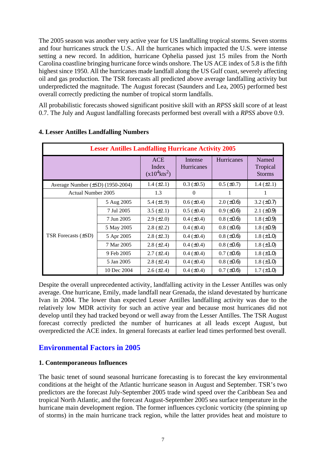The 2005 season was another very active year for US landfalling tropical storms. Seven storms and four hurricanes struck the U.S.. All the hurricanes which impacted the U.S. were intense setting a new record. In addition, hurricane Ophelia passed just 15 miles from the North Carolina coastline bringing hurricane force winds onshore. The US ACE index of 5.8 is the fifth highest since 1950. All the hurricanes made landfall along the US Gulf coast, severely affecting oil and gas production. The TSR forecasts all predicted above average landfalling activity but underpredicted the magnitude. The August forecast (Saunders and Lea, 2005) performed best overall correctly predicting the number of tropical storm landfalls.

All probabilistic forecasts showed significant positive skill with an *RPSS* skill score of at least 0.7. The July and August landfalling forecasts performed best overall with a *RPSS* above 0.9.

| <b>Lesser Antilles Landfalling Hurricane Activity 2005</b> |             |                                                    |                              |                   |                                    |
|------------------------------------------------------------|-------------|----------------------------------------------------|------------------------------|-------------------|------------------------------------|
|                                                            |             | <b>ACE</b><br>Index<br>$(x10^4$ kts <sup>2</sup> ) | Intense<br><b>Hurricanes</b> | <b>Hurricanes</b> | Named<br>Tropical<br><b>Storms</b> |
| Average Number (±SD) (1950-2004)                           |             | 1.4 $(\pm 2.1)$                                    | $0.3 \ (\pm 0.5)$            | $0.5 (\pm 0.7)$   | 1.4 $(\pm 2.1)$                    |
| <b>Actual Number 2005</b>                                  |             | 1.3                                                | $\Omega$                     | 1                 | 1                                  |
|                                                            | 5 Aug 2005  | 5.4 $(\pm 1.9)$                                    | $0.6 \ (\pm 0.4)$            | $2.0 \ (\pm 0.6)$ | 3.2 $(\pm 0.7)$                    |
|                                                            | 7 Jul 2005  | $3.5 (\pm 2.1)$                                    | $0.5 \ (\pm 0.4)$            | $0.9 \ (\pm 0.6)$ | 2.1 $(\pm 0.9)$                    |
|                                                            | 7 Jun 2005  | $2.9 \ (\pm 2.0)$                                  | $0.4 \ (\pm 0.4)$            | $0.8 (\pm 0.6)$   | 1.8 $(\pm 0.9)$                    |
|                                                            | 5 May 2005  | $2.8 (\pm 2.2)$                                    | $0.4 \ (\pm 0.4)$            | $0.8 (\pm 0.6)$   | 1.8 $(\pm 0.9)$                    |
| <b>TSR Forecasts (±SD)</b>                                 | 5 Apr 2005  | $2.8 (\pm 2.3)$                                    | $0.4 \ (\pm 0.4)$            | $0.8 (\pm 0.6)$   | $1.8 (\pm 1.0)$                    |
|                                                            | 7 Mar 2005  | $2.8 (\pm 2.4)$                                    | $0.4 (\pm 0.4)$              | $0.8 (\pm 0.6)$   | $1.8 (\pm 1.0)$                    |
|                                                            | 9 Feb 2005  | $2.7 (\pm 2.4)$                                    | $0.4 \ (\pm 0.4)$            | $0.7 (\pm 0.6)$   | $1.8 (\pm 1.0)$                    |
|                                                            | 5 Jan 2005  | $2.8 (\pm 2.4)$                                    | $0.4 \ (\pm 0.4)$            | $0.8 (\pm 0.6)$   | $1.8 (\pm 1.0)$                    |
|                                                            | 10 Dec 2004 | $2.6 (\pm 2.4)$                                    | $0.4 (\pm 0.4)$              | $0.7 (\pm 0.6)$   | $1.7 (\pm 1.0)$                    |

#### **4. Lesser Antilles Landfalling Numbers**

Despite the overall unprecedented activity, landfalling activity in the Lesser Antilles was only average. One hurricane, Emily, made landfall near Grenada, the island devestated by hurricane Ivan in 2004. The lower than expected Lesser Antilles landfalling activity was due to the relatively low MDR activity for such an active year and because most hurricanes did not develop until they had tracked beyond or well away from the Lesser Antilles. The TSR August forecast correctly predicted the number of hurricanes at all leads except August, but overpredicted the ACE index. In general forecasts at earlier lead times performed best overall.

## **Environmental Factors in 2005**

#### **1. Contemporaneous Influences**

The basic tenet of sound seasonal hurricane forecasting is to forecast the key environmental conditions at the height of the Atlantic hurricane season in August and September. TSR's two predictors are the forecast July-September 2005 trade wind speed over the Caribbean Sea and tropical North Atlantic, and the forecast August-September 2005 sea surface temperature in the hurricane main development region. The former influences cyclonic vorticity (the spinning up of storms) in the main hurricane track region, while the latter provides heat and moisture to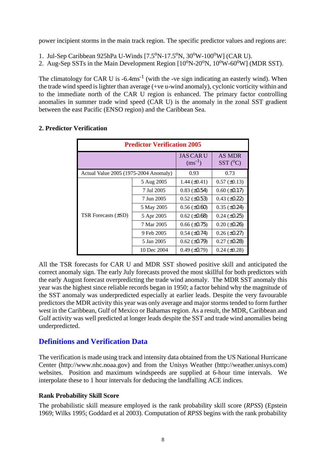power incipient storms in the main track region. The specific predictor values and regions are:

- 1. Jul-Sep Caribbean 925hPa U-Winds  $[7.5^{\circ}N-17.5^{\circ}N, 30^{\circ}W-100^{\circ}W]$  (CAR U).
- 2. Aug-Sep SSTs in the Main Development Region  $[10^0N-20^0N, 10^0W-60^0W]$  (MDR SST).

The climatology for CAR U is  $-6.4 \text{ms}^{-1}$  (with the -ve sign indicating an easterly wind). When the trade wind speed islighter than average (+ve u-wind anomaly), cyclonic vorticity within and to the immediate north of the CAR U region is enhanced. The primary factor controlling anomalies in summer trade wind speed (CAR U) is the anomaly in the zonal SST gradient between the east Pacific (ENSO region) and the Caribbean Sea.

| <b>Predictor Verification 2005</b>    |             |                                 |                                   |  |
|---------------------------------------|-------------|---------------------------------|-----------------------------------|--|
|                                       |             | <b>JAS CAR U</b><br>$(ms^{-1})$ | <b>AS MDR</b><br>$SST(^{\circ}C)$ |  |
| Actual Value 2005 (1975-2004 Anomaly) |             | 0.93                            | 0.73                              |  |
|                                       | 5 Aug 2005  | 1.44 $(\pm 0.41)$               | $0.57 (\pm 0.13)$                 |  |
|                                       | 7 Jul 2005  | $0.83 \ (\pm 0.54)$             | $0.60 \ (\pm 0.17)$               |  |
|                                       | 7 Jun 2005  | $0.52 \ (\pm 0.53)$             | $0.43 \ (\pm 0.22)$               |  |
|                                       | 5 May 2005  | $0.56 \ (\pm 0.60)$             | $0.35 (\pm 0.24)$                 |  |
| TSR Forecasts (±SD)                   | 5 Apr 2005  | $0.62 \ (\pm 0.68)$             | $0.24 \ (\pm 0.25)$               |  |
|                                       | 7 Mar 2005  | $0.66 (\pm 0.75)$               | $0.20 (\pm 0.26)$                 |  |
|                                       | 9 Feb 2005  | $0.54 \ (\pm 0.74)$             | $0.26 \, (\pm 0.27)$              |  |
|                                       | 5 Jan 2005  | $0.62 (\pm 0.79)$               | $0.27 (\pm 0.28)$                 |  |
|                                       | 10 Dec 2004 | $0.49 \ (\pm 0.79)$             | $0.24$ ( $\pm 0.28$ )             |  |

#### **2. Predictor Verification**

All the TSR forecasts for CAR U and MDR SST showed positive skill and anticipated the correct anomaly sign. The early July forecasts proved the most skillful for both predictors with the early August forecast overpredicting the trade wind anomaly. The MDR SST anomaly this year was the highest since reliable records began in 1950; a factor behind why the magnitude of the SST anomaly was underpredicted especially at earlier leads. Despite the very favourable predictors the MDR activity this year was only average and major storms tended to form further west in the Caribbean, Gulf of Mexico or Bahamas region. As a result, the MDR, Caribbean and Gulf activity was well predicted at longer leads despite the SST and trade wind anomalies being underpredicted.

## **Definitions and Verification Data**

The verification is made using track and intensity data obtained from the US National Hurricane Center (http://www.nhc.noaa.gov) and from the Unisys Weather (http://weather.unisys.com) websites. Position and maximum windspeeds are supplied at 6-hour time intervals. We interpolate these to 1 hour intervals for deducing the landfalling ACE indices.

#### **Rank Probability Skill Score**

The probabilistic skill measure employed is the rank probability skill score (*RPSS*) (Epstein 1969; Wilks 1995; Goddard et al 2003). Computation of *RPSS* begins with the rank probability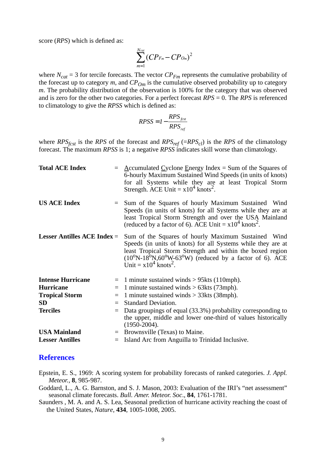score (*RPS*) which is defined as:

$$
\sum_{m=1}^{N_{cal}} (CP_{Fm} - CP_{Om})^2
$$

where  $N_{cat} = 3$  for tercile forecasts. The vector  $CP_{Fm}$  represents the cumulative probability of the forecast up to category  $m$ , and  $CP_{Om}$  is the cumulative observed probability up to category *m*. The probability distribution of the observation is 100% for the category that was observed and is zero for the other two categories. For a perfect forecast *RPS* = 0. The *RPS* is referenced to climatology to give the *RPSS* which is defined as:

$$
RPSS = I - \frac{RPS_{fest}}{RPS_{ref}}
$$

where  $RPS<sub>fcsf</sub>$  is the *RPS* of the forecast and  $RPS<sub>ref</sub>$  (= $RPS<sub>cl</sub>$ ) is the *RPS* of the climatology forecast. The maximum *RPSS* is 1; a negative *RPSS* indicates skill worse than climatology.

| <b>Total ACE Index</b>                          |          | $=$ Accumulated Cyclone Energy Index = Sum of the Squares of<br>6-hourly Maximum Sustained Wind Speeds (in units of knots)<br>for all Systems while they are at least Tropical Storm<br>Strength. ACE Unit = $x10^4$ knots <sup>2</sup> .                                                                      |
|-------------------------------------------------|----------|----------------------------------------------------------------------------------------------------------------------------------------------------------------------------------------------------------------------------------------------------------------------------------------------------------------|
| <b>US ACE Index</b>                             |          | Sum of the Squares of hourly Maximum Sustained Wind<br>Speeds (in units of knots) for all Systems while they are at<br>least Tropical Storm Strength and over the USA Mainland<br>(reduced by a factor of 6). ACE Unit = $x10^4$ knots <sup>2</sup> .                                                          |
| <b>Lesser Antilles ACE Index <math>=</math></b> |          | Sum of the Squares of hourly Maximum Sustained Wind<br>Speeds (in units of knots) for all Systems while they are at<br>least Tropical Storm Strength and within the boxed region<br>$(10^{\circ}N-18^{\circ}N,60^{\circ}W-63^{\circ}W)$ (reduced by a factor of 6). ACE<br>Unit = $x10^4$ knots <sup>2</sup> . |
| <b>Intense Hurricane</b>                        |          | $=$ 1 minute sustained winds > 95kts (110mph).                                                                                                                                                                                                                                                                 |
| <b>Hurricane</b>                                | $\equiv$ | 1 minute sustained winds $> 63$ kts (73mph).                                                                                                                                                                                                                                                                   |
| <b>Tropical Storm</b>                           | $=$      | 1 minute sustained winds $>$ 33kts (38mph).                                                                                                                                                                                                                                                                    |
| <b>SD</b>                                       | $=$      | <b>Standard Deviation.</b>                                                                                                                                                                                                                                                                                     |
| <b>Terciles</b>                                 | $=$      | Data groupings of equal (33.3%) probability corresponding to<br>the upper, middle and lower one-third of values historically<br>$(1950-2004).$                                                                                                                                                                 |
| <b>USA Mainland</b>                             |          | $=$ Brownsville (Texas) to Maine.                                                                                                                                                                                                                                                                              |
| <b>Lesser Antilles</b>                          | $=$      | Island Arc from Anguilla to Trinidad Inclusive.                                                                                                                                                                                                                                                                |

#### **References**

- Epstein, E. S., 1969: A scoring system for probability forecasts of ranked categories. *J. Appl. Meteor.*, **8**, 985-987.
- Goddard, L., A. G. Barnston, and S. J. Mason, 2003: Evaluation of the IRI's "net assessment" seasonal climate forecasts. *Bull. Amer. Meteor. Soc*., **84**, 1761-1781.
- Saunders , M. A. and A. S. Lea, Seasonal prediction of hurricane activity reaching the coast of the United States, *Nature*, **434**, 1005-1008, 2005.